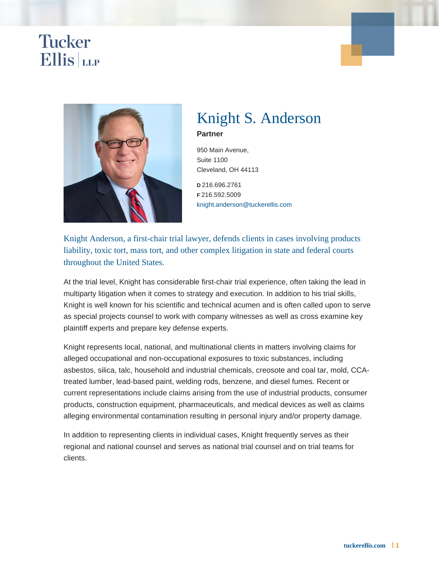## Knight S. Anderson

Partner

950 Main Avenue, Suite 1100 Cleveland, OH 44113

D 216.696.2761 F 216.592.5009 [knight.anderson@tuckerellis.com](mailto:knight.anderson@tuckerellis.com)

Knight Anderson, a first-chair trial lawyer, defends clients in cases involving products liability, toxic tort, mass tort, and other complex litigation in state and federal courts throughout the United States.

At the trial level, Knight has considerable first-chair trial experience, often taking the lead in multiparty litigation when it comes to strategy and execution. In addition to his trial skills, Knight is well known for his scientific and technical acumen and is often called upon to serve as special projects counsel to work with company witnesses as well as cross examine key plaintiff experts and prepare key defense experts.

Knight represents local, national, and multinational clients in matters involving claims for alleged occupational and non-occupational exposures to toxic substances, including asbestos, silica, talc, household and industrial chemicals, creosote and coal tar, mold, CCAtreated lumber, lead-based paint, welding rods, benzene, and diesel fumes. Recent or current representations include claims arising from the use of industrial products, consumer products, construction equipment, pharmaceuticals, and medical devices as well as claims alleging environmental contamination resulting in personal injury and/or property damage.

In addition to representing clients in individual cases, Knight frequently serves as their regional and national counsel and serves as national trial counsel and on trial teams for clients.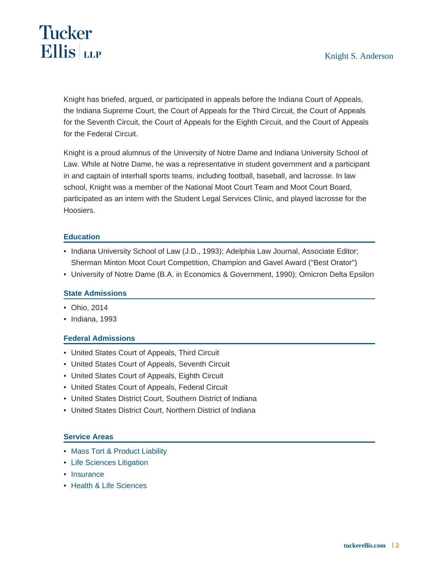Knight has briefed, argued, or participated in appeals before the Indiana Court of Appeals, the Indiana Supreme Court, the Court of Appeals for the Third Circuit, the Court of Appeals for the Seventh Circuit, the Court of Appeals for the Eighth Circuit, and the Court of Appeals for the Federal Circuit.

Knight is a proud alumnus of the University of Notre Dame and Indiana University School of Law. While at Notre Dame, he was a representative in student government and a participant in and captain of interhall sports teams, including football, baseball, and lacrosse. In law school, Knight was a member of the National Moot Court Team and Moot Court Board, participated as an intern with the Student Legal Services Clinic, and played lacrosse for the Hoosiers.

### **Education**

- Indiana University School of Law (J.D., 1993); Adelphia Law Journal, Associate Editor; Sherman Minton Moot Court Competition, Champion and Gavel Award ("Best Orator")
- University of Notre Dame (B.A. in Economics & Government, 1990); Omicron Delta Epsilon

### State Admissions

- Ohio, 2014
- Indiana, 1993

### Federal Admissions

- United States Court of Appeals, Third Circuit
- United States Court of Appeals, Seventh Circuit
- United States Court of Appeals, Eighth Circuit
- United States Court of Appeals, Federal Circuit
- United States District Court, Southern District of Indiana
- United States District Court, Northern District of Indiana

### Service Areas

- [Mass Tort & Product Liability](https://www.tuckerellis.com/services/mass-tort-product-liability/)
- [Life Sciences Litigation](https://www.tuckerellis.com/services/life-sciences-litigation/)
- [Insurance](https://www.tuckerellis.com/services/insurance/)
- [Health & Life Sciences](https://www.tuckerellis.com/services/health-life-sciences/)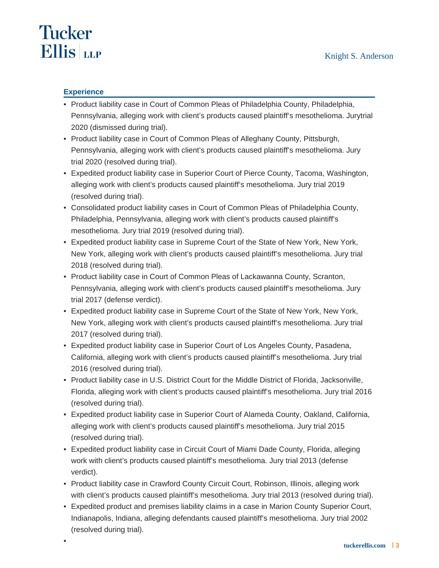# **Tucker Ellis** LLP

•

### **Experience**

- Product liability case in Court of Common Pleas of Philadelphia County, Philadelphia, Pennsylvania, alleging work with client's products caused plaintiff's mesothelioma. Jurytrial 2020 (dismissed during trial).
- Product liability case in Court of Common Pleas of Alleghany County, Pittsburgh, Pennsylvania, alleging work with client's products caused plaintiff's mesothelioma. Jury trial 2020 (resolved during trial).
- Expedited product liability case in Superior Court of Pierce County, Tacoma, Washington, alleging work with client's products caused plaintiff's mesothelioma. Jury trial 2019 (resolved during trial).
- Consolidated product liability cases in Court of Common Pleas of Philadelphia County, Philadelphia, Pennsylvania, alleging work with client's products caused plaintiff's mesothelioma. Jury trial 2019 (resolved during trial).
- Expedited product liability case in Supreme Court of the State of New York, New York, New York, alleging work with client's products caused plaintiff's mesothelioma. Jury trial 2018 (resolved during trial).
- Product liability case in Court of Common Pleas of Lackawanna County, Scranton, Pennsylvania, alleging work with client's products caused plaintiff's mesothelioma. Jury trial 2017 (defense verdict).
- Expedited product liability case in Supreme Court of the State of New York, New York, New York, alleging work with client's products caused plaintiff's mesothelioma. Jury trial 2017 (resolved during trial).
- Expedited product liability case in Superior Court of Los Angeles County, Pasadena, California, alleging work with client's products caused plaintiff's mesothelioma. Jury trial 2016 (resolved during trial).
- Product liability case in U.S. District Court for the Middle District of Florida, Jacksonville, Florida, alleging work with client's products caused plaintiff's mesothelioma. Jury trial 2016 (resolved during trial).
- Expedited product liability case in Superior Court of Alameda County, Oakland, California, alleging work with client's products caused plaintiff's mesothelioma. Jury trial 2015 (resolved during trial).
- Expedited product liability case in Circuit Court of Miami Dade County, Florida, alleging work with client's products caused plaintiff's mesothelioma. Jury trial 2013 (defense verdict).
- Product liability case in Crawford County Circuit Court, Robinson, Illinois, alleging work with client's products caused plaintiff's mesothelioma. Jury trial 2013 (resolved during trial).
- Expedited product and premises liability claims in a case in Marion County Superior Court, Indianapolis, Indiana, alleging defendants caused plaintiff's mesothelioma. Jury trial 2002 (resolved during trial).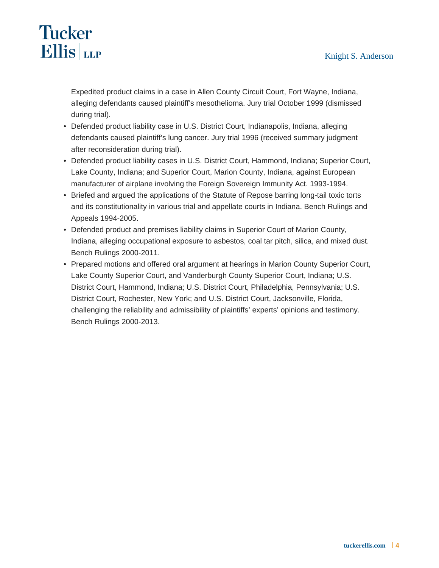# **Tucker Ellis** LLP

Expedited product claims in a case in Allen County Circuit Court, Fort Wayne, Indiana, alleging defendants caused plaintiff's mesothelioma. Jury trial October 1999 (dismissed during trial).

- Defended product liability case in U.S. District Court, Indianapolis, Indiana, alleging defendants caused plaintiff's lung cancer. Jury trial 1996 (received summary judgment after reconsideration during trial).
- Defended product liability cases in U.S. District Court, Hammond, Indiana; Superior Court, Lake County, Indiana; and Superior Court, Marion County, Indiana, against European manufacturer of airplane involving the Foreign Sovereign Immunity Act. 1993-1994.
- Briefed and argued the applications of the Statute of Repose barring long-tail toxic torts and its constitutionality in various trial and appellate courts in Indiana. Bench Rulings and Appeals 1994-2005.
- Defended product and premises liability claims in Superior Court of Marion County, Indiana, alleging occupational exposure to asbestos, coal tar pitch, silica, and mixed dust. Bench Rulings 2000-2011.
- Prepared motions and offered oral argument at hearings in Marion County Superior Court, Lake County Superior Court, and Vanderburgh County Superior Court, Indiana; U.S. District Court, Hammond, Indiana; U.S. District Court, Philadelphia, Pennsylvania; U.S. District Court, Rochester, New York; and U.S. District Court, Jacksonville, Florida, challenging the reliability and admissibility of plaintiffs' experts' opinions and testimony. Bench Rulings 2000-2013.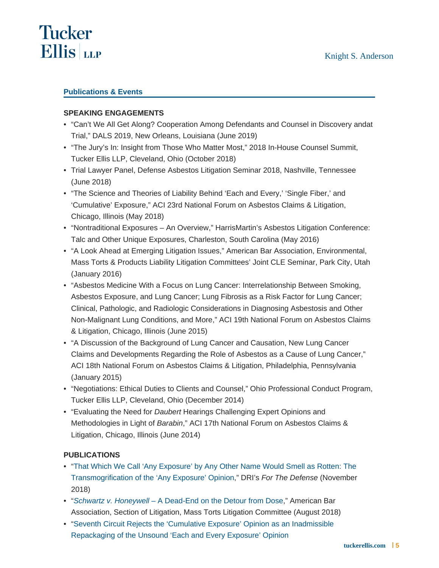### Publications & Events

### SPEAKING ENGAGEMENTS

- "Can't We All Get Along? Cooperation Among Defendants and Counsel in Discovery andat Trial," DALS 2019, New Orleans, Louisiana (June 2019)
- "The Jury's In: Insight from Those Who Matter Most," 2018 In-House Counsel Summit, Tucker Ellis LLP, Cleveland, Ohio (October 2018)
- Trial Lawyer Panel, Defense Asbestos Litigation Seminar 2018, Nashville, Tennessee (June 2018)
- "The Science and Theories of Liability Behind 'Each and Every,' 'Single Fiber,' and 'Cumulative' Exposure," ACI 23rd National Forum on Asbestos Claims & Litigation, Chicago, Illinois (May 2018)
- "Nontraditional Exposures An Overview," HarrisMartin's Asbestos Litigation Conference: Talc and Other Unique Exposures, Charleston, South Carolina (May 2016)
- "A Look Ahead at Emerging Litigation Issues," American Bar Association, Environmental, Mass Torts & Products Liability Litigation Committees' Joint CLE Seminar, Park City, Utah (January 2016)
- "Asbestos Medicine With a Focus on Lung Cancer: Interrelationship Between Smoking, Asbestos Exposure, and Lung Cancer; Lung Fibrosis as a Risk Factor for Lung Cancer; Clinical, Pathologic, and Radiologic Considerations in Diagnosing Asbestosis and Other Non-Malignant Lung Conditions, and More," ACI 19th National Forum on Asbestos Claims & Litigation, Chicago, Illinois (June 2015)
- "A Discussion of the Background of Lung Cancer and Causation, New Lung Cancer Claims and Developments Regarding the Role of Asbestos as a Cause of Lung Cancer," ACI 18th National Forum on Asbestos Claims & Litigation, Philadelphia, Pennsylvania (January 2015)
- "Negotiations: Ethical Duties to Clients and Counsel," Ohio Professional Conduct Program, Tucker Ellis LLP, Cleveland, Ohio (December 2014)
- "Evaluating the Need for Daubert Hearings Challenging Expert Opinions and Methodologies in Light of Barabin," ACI 17th National Forum on Asbestos Claims & Litigation, Chicago, Illinois (June 2014)

### PUBLICATIONS

- "That Which We Call 'Any Exposure' by Any Other Name Would Smell as Rotten: The [Transmogrification of the 'Any Exposure' Opinion,](http://www.tuckerellis.com/webfiles/Anderson Manno Arko 2018 The Transmogrification of Any Exposure - FTD 11-18.pdf)" DRI's For The Defense (November 2018)
- "[Schwartz v. Honeywell A Dead-End on the Detour from Dose](http://www.tuckerellis.com/webfiles/schwartz-v-honeywell.pdf)," American Bar Association, Section of Litigation, Mass Torts Litigation Committee (August 2018)
- "Seventh Circuit Rejects the 'Cumulative Exposure' Opinion as an Inadmissible [Repackaging of the Unsound 'Each and Every Exposure' Opinion](http://www.tuckerellis.com/webfiles/anderson-winter-2017.pdf)